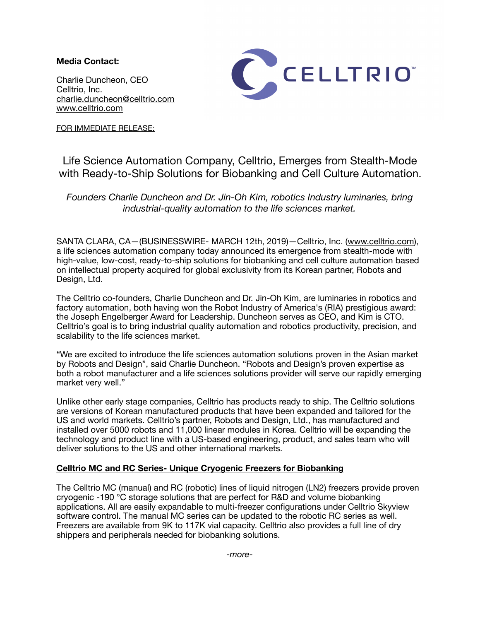**Media Contact:** 

Charlie Duncheon, CEO Celltrio, Inc. [charlie.duncheon@celltrio.com](mailto:charlie.duncheon@celltrio.com) [www.celltrio.com](http://www.celltrio.com)



FOR IMMEDIATE RELEASE:

# Life Science Automation Company, Celltrio, Emerges from Stealth-Mode with Ready-to-Ship Solutions for Biobanking and Cell Culture Automation.

*Founders Charlie Duncheon and Dr. Jin-Oh Kim, robotics Industry luminaries, bring industrial-quality automation to the life sciences market.* 

SANTA CLARA, CA—(BUSINESSWIRE- MARCH 12th, 2019)—Celltrio, Inc. ([www.celltrio.com](http://www.celltrio.com)), a life sciences automation company today announced its emergence from stealth-mode with high-value, low-cost, ready-to-ship solutions for biobanking and cell culture automation based on intellectual property acquired for global exclusivity from its Korean partner, Robots and Design, Ltd.

The Celltrio co-founders, Charlie Duncheon and Dr. Jin-Oh Kim, are luminaries in robotics and factory automation, both having won the Robot Industry of America's (RIA) prestigious award: the Joseph Engelberger Award for Leadership. Duncheon serves as CEO, and Kim is CTO. Celltrio's goal is to bring industrial quality automation and robotics productivity, precision, and scalability to the life sciences market.

"We are excited to introduce the life sciences automation solutions proven in the Asian market by Robots and Design", said Charlie Duncheon. "Robots and Design's proven expertise as both a robot manufacturer and a life sciences solutions provider will serve our rapidly emerging market very well."

Unlike other early stage companies, Celltrio has products ready to ship. The Celltrio solutions are versions of Korean manufactured products that have been expanded and tailored for the US and world markets. Celltrio's partner, Robots and Design, Ltd., has manufactured and installed over 5000 robots and 11,000 linear modules in Korea. Celltrio will be expanding the technology and product line with a US-based engineering, product, and sales team who will deliver solutions to the US and other international markets.

## **Celltrio MC and RC Series- Unique Cryogenic Freezers for Biobanking**

The Celltrio MC (manual) and RC (robotic) lines of liquid nitrogen (LN2) freezers provide proven cryogenic -190 °C storage solutions that are perfect for R&D and volume biobanking applications. All are easily expandable to multi-freezer configurations under Celltrio Skyview software control. The manual MC series can be updated to the robotic RC series as well. Freezers are available from 9K to 117K vial capacity. Celltrio also provides a full line of dry shippers and peripherals needed for biobanking solutions.